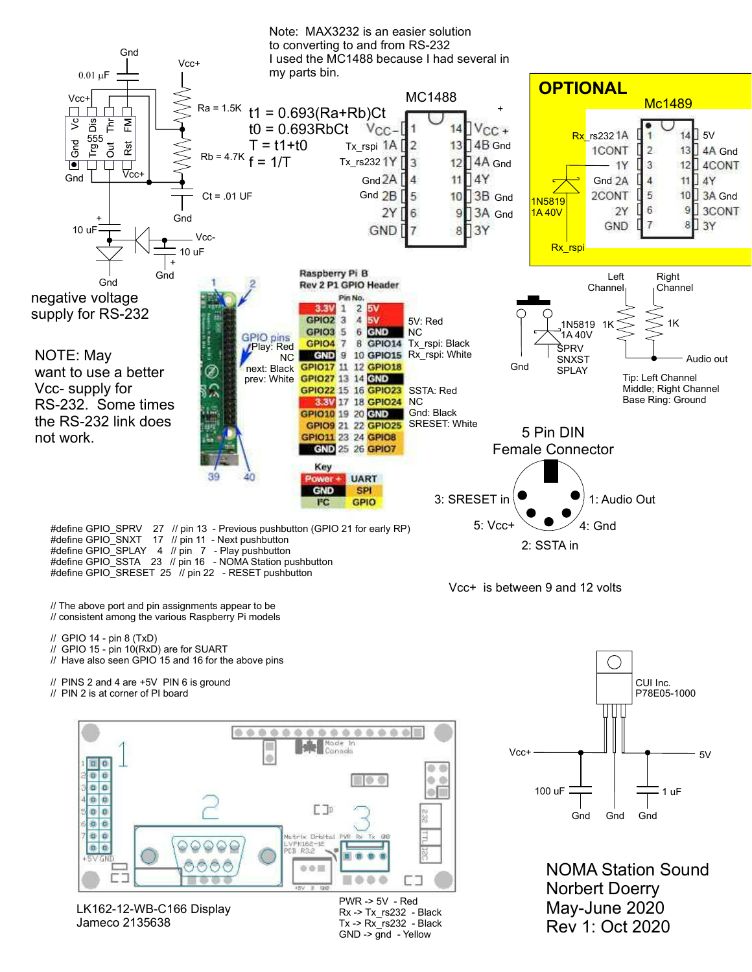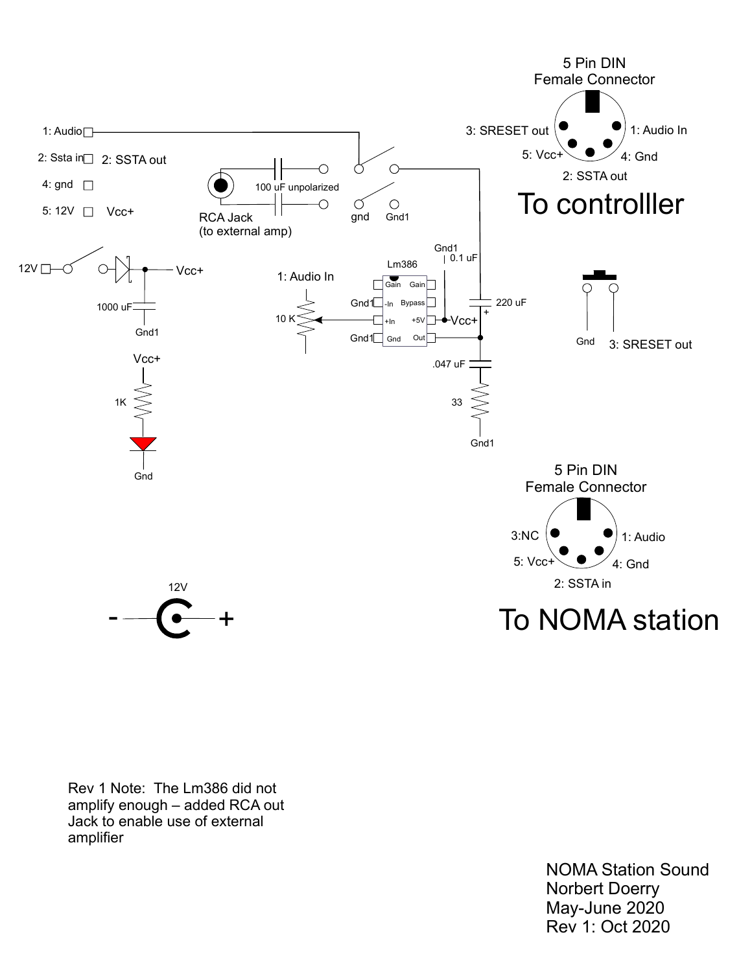

Rev 1 Note: The Lm386 did not amplify enough - added RCA out Jack to enable use of external amplifier

> NOMA Station Sound Norbert Doerry May-June 2020 Rev 1: Oct 2020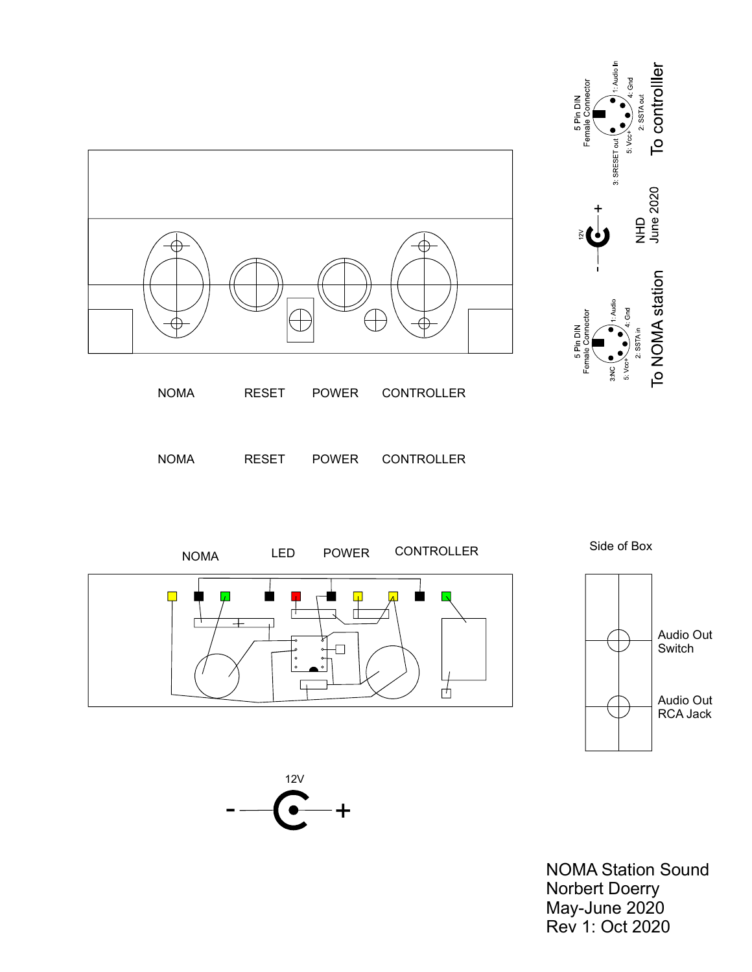

NOMA RESET POWER CONTROLLER





NOMA Station Sound Norbert Doerry May-June 2020 Rev 1: Oct 2020